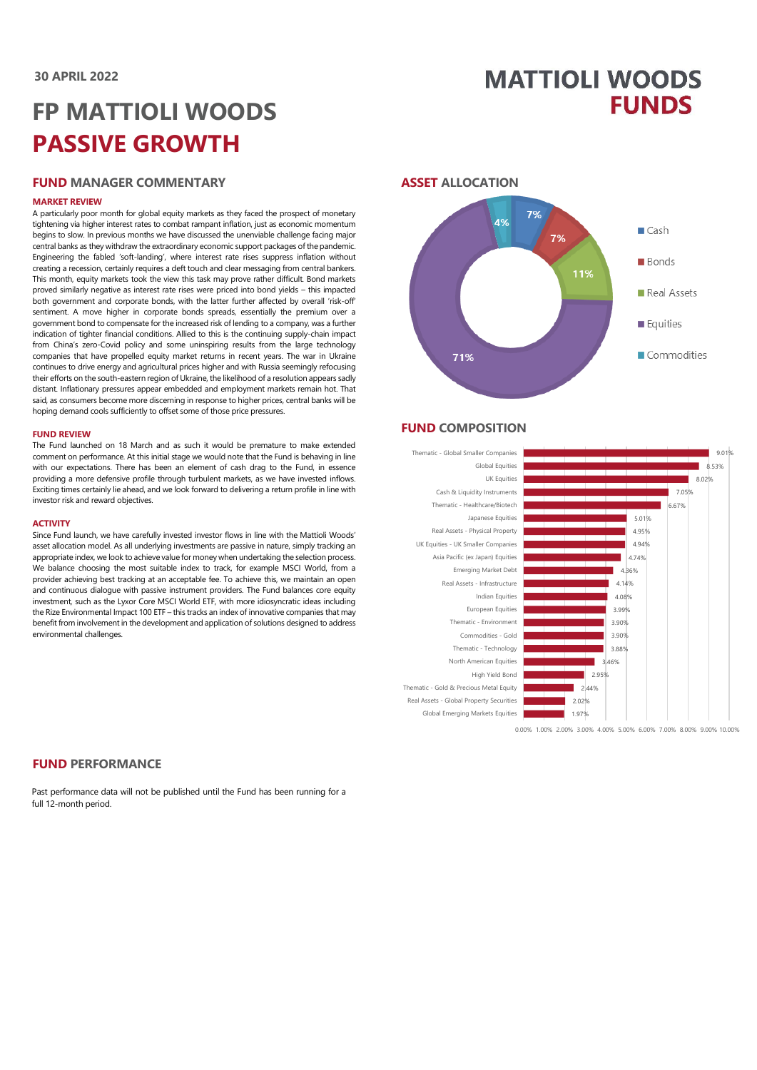## **MATTIOLI WOODS FUNDS**

# **FP MATTIOLI WOODS PASSIVE GROWTH**

#### **FUND MANAGER COMMENTARY**

#### **MARKET REVIEW**

A particularly poor month for global equity markets as they faced the prospect of monetary tightening via higher interest rates to combat rampant inflation, just as economic momentum begins to slow. In previous months we have discussed the unenviable challenge facing major central banks as they withdraw the extraordinary economic support packages of the pandemic. Engineering the fabled 'soft-landing', where interest rate rises suppress inflation without creating a recession, certainly requires a deft touch and clear messaging from central bankers. This month, equity markets took the view this task may prove rather difficult. Bond markets proved similarly negative as interest rate rises were priced into bond yields – this impacted both government and corporate bonds, with the latter further affected by overall 'risk-off' sentiment. A move higher in corporate bonds spreads, essentially the premium over a government bond to compensate for the increased risk of lending to a company, was a further indication of tighter financial conditions. Allied to this is the continuing supply-chain impact from China's zero-Covid policy and some uninspiring results from the large technology companies that have propelled equity market returns in recent years. The war in Ukraine continues to drive energy and agricultural prices higher and with Russia seemingly refocusing their efforts on the south-eastern region of Ukraine, the likelihood of a resolution appears sadly distant. Inflationary pressures appear embedded and employment markets remain hot. That said, as consumers become more discerning in response to higher prices, central banks will be hoping demand cools sufficiently to offset some of those price pressures.

#### **FUND REVIEW**

The Fund launched on 18 March and as such it would be premature to make extended comment on performance. At this initial stage we would note that the Fund is behaving in line with our expectations. There has been an element of cash drag to the Fund, in essence providing a more defensive profile through turbulent markets, as we have invested inflows. Exciting times certainly lie ahead, and we look forward to delivering a return profile in line with investor risk and reward objectives.

#### **ACTIVITY**

Since Fund launch, we have carefully invested investor flows in line with the Mattioli Woods' asset allocation model. As all underlying investments are passive in nature, simply tracking an appropriate index, we look to achieve value for money when undertaking the selection process. We balance choosing the most suitable index to track, for example MSCI World, from a provider achieving best tracking at an acceptable fee. To achieve this, we maintain an open and continuous dialogue with passive instrument providers. The Fund balances core equity investment, such as the Lyxor Core MSCI World ETF, with more idiosyncratic ideas including the Rize Environmental Impact 100 ETF – this tracks an index of innovative companies that may benefit from involvement in the development and application of solutions designed to address environmental challenges.

### $7%$  $A^{0}$  $\Box$  Cash 7% **Bonds** 11% Real Assets  $\blacksquare$  Equities Commodities 71%

#### **FUND COMPOSITION**

**ASSET ALLOCATION**



#### **FUND PERFORMANCE**

Past performance data will not be published until the Fund has been running for a full 12-month period.